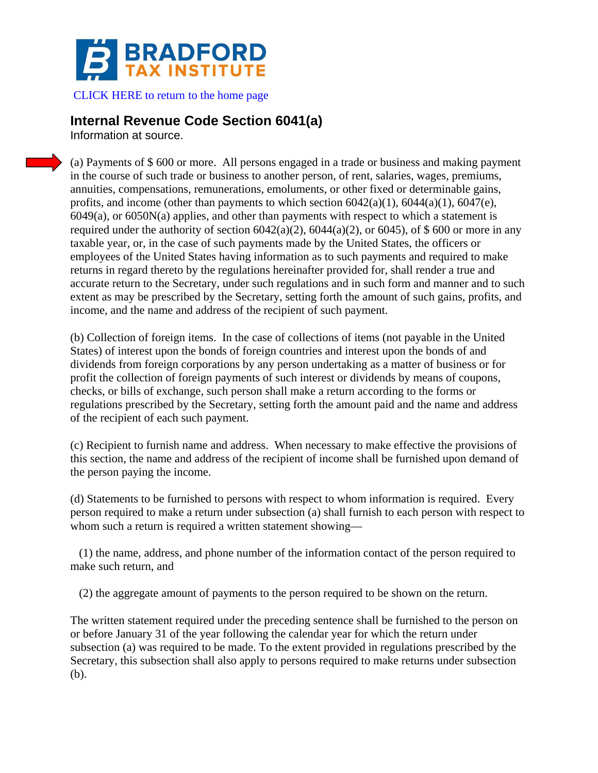

[CLICK HERE to return to the](http://bradfordtaxinstitute.com/index1.aspx) home page

## **Internal Revenue Code Section 6041(a)**

Information at source.

(a) Payments of \$ 600 or more. All persons engaged in a trade or business and making payment in the course of such trade or business to another person, of rent, salaries, wages, premiums, annuities, compensations, remunerations, emoluments, or other fixed or determinable gains, profits, and income (other than payments to which section  $6042(a)(1)$ ,  $6044(a)(1)$ ,  $6047(e)$ , 6049(a), or 6050N(a) applies, and other than payments with respect to which a statement is required under the authority of section  $6042(a)(2)$ ,  $6044(a)(2)$ , or  $6045$ ), of \$ 600 or more in any taxable year, or, in the case of such payments made by the United States, the officers or employees of the United States having information as to such payments and required to make returns in regard thereto by the regulations hereinafter provided for, shall render a true and accurate return to the Secretary, under such regulations and in such form and manner and to such extent as may be prescribed by the Secretary, setting forth the amount of such gains, profits, and income, and the name and address of the recipient of such payment.

(b) Collection of foreign items. In the case of collections of items (not payable in the United States) of interest upon the bonds of foreign countries and interest upon the bonds of and dividends from foreign corporations by any person undertaking as a matter of business or for profit the collection of foreign payments of such interest or dividends by means of coupons, checks, or bills of exchange, such person shall make a return according to the forms or regulations prescribed by the Secretary, setting forth the amount paid and the name and address of the recipient of each such payment.

(c) Recipient to furnish name and address. When necessary to make effective the provisions of this section, the name and address of the recipient of income shall be furnished upon demand of the person paying the income.

(d) Statements to be furnished to persons with respect to whom information is required. Every person required to make a return under subsection (a) shall furnish to each person with respect to whom such a return is required a written statement showing—

(1) the name, address, and phone number of the information contact of the person required to make such return, and

(2) the aggregate amount of payments to the person required to be shown on the return.

The written statement required under the preceding sentence shall be furnished to the person on or before January 31 of the year following the calendar year for which the return under subsection (a) was required to be made. To the extent provided in regulations prescribed by the Secretary, this subsection shall also apply to persons required to make returns under subsection (b).